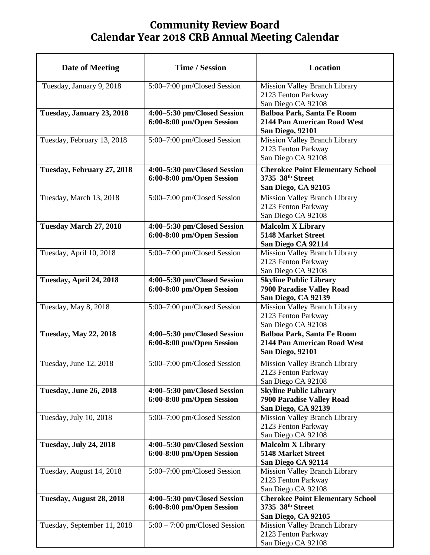## **Community Review Board Calendar Year 2018 CRB Annual Meeting Calendar**

| <b>Date of Meeting</b>        | <b>Time / Session</b>                                    | Location                                                                                    |
|-------------------------------|----------------------------------------------------------|---------------------------------------------------------------------------------------------|
| Tuesday, January 9, 2018      | 5:00-7:00 pm/Closed Session                              | <b>Mission Valley Branch Library</b><br>2123 Fenton Parkway<br>San Diego CA 92108           |
| Tuesday, January 23, 2018     | 4:00-5:30 pm/Closed Session<br>6:00-8:00 pm/Open Session | <b>Balboa Park, Santa Fe Room</b><br>2144 Pan American Road West<br><b>San Diego, 92101</b> |
| Tuesday, February 13, 2018    | 5:00-7:00 pm/Closed Session                              | <b>Mission Valley Branch Library</b><br>2123 Fenton Parkway<br>San Diego CA 92108           |
| Tuesday, February 27, 2018    | 4:00-5:30 pm/Closed Session<br>6:00-8:00 pm/Open Session | <b>Cherokee Point Elementary School</b><br>3735 38th Street<br>San Diego, CA 92105          |
| Tuesday, March 13, 2018       | 5:00-7:00 pm/Closed Session                              | <b>Mission Valley Branch Library</b><br>2123 Fenton Parkway<br>San Diego CA 92108           |
| Tuesday March 27, 2018        | 4:00-5:30 pm/Closed Session<br>6:00-8:00 pm/Open Session | <b>Malcolm X Library</b><br><b>5148 Market Street</b><br>San Diego CA 92114                 |
| Tuesday, April 10, 2018       | 5:00-7:00 pm/Closed Session                              | <b>Mission Valley Branch Library</b><br>2123 Fenton Parkway<br>San Diego CA 92108           |
| Tuesday, April 24, 2018       | 4:00-5:30 pm/Closed Session<br>6:00-8:00 pm/Open Session | <b>Skyline Public Library</b><br><b>7900 Paradise Valley Road</b><br>San Diego, CA 92139    |
| Tuesday, May 8, 2018          | 5:00-7:00 pm/Closed Session                              | <b>Mission Valley Branch Library</b><br>2123 Fenton Parkway<br>San Diego CA 92108           |
| <b>Tuesday, May 22, 2018</b>  | 4:00-5:30 pm/Closed Session<br>6:00-8:00 pm/Open Session | <b>Balboa Park, Santa Fe Room</b><br>2144 Pan American Road West<br><b>San Diego, 92101</b> |
| Tuesday, June 12, 2018        | 5:00-7:00 pm/Closed Session                              | <b>Mission Valley Branch Library</b><br>2123 Fenton Parkway<br>San Diego CA 92108           |
| <b>Tuesday, June 26, 2018</b> | 4:00-5:30 pm/Closed Session<br>6:00-8:00 pm/Open Session | <b>Skyline Public Library</b><br>7900 Paradise Valley Road<br>San Diego, CA 92139           |
| Tuesday, July 10, 2018        | 5:00–7:00 pm/Closed Session                              | Mission Valley Branch Library<br>2123 Fenton Parkway<br>San Diego CA 92108                  |
| <b>Tuesday, July 24, 2018</b> | 4:00-5:30 pm/Closed Session<br>6:00-8:00 pm/Open Session | <b>Malcolm X Library</b><br><b>5148 Market Street</b><br>San Diego CA 92114                 |
| Tuesday, August 14, 2018      | 5:00–7:00 pm/Closed Session                              | <b>Mission Valley Branch Library</b><br>2123 Fenton Parkway<br>San Diego CA 92108           |
| Tuesday, August 28, 2018      | 4:00-5:30 pm/Closed Session<br>6:00-8:00 pm/Open Session | <b>Cherokee Point Elementary School</b><br>3735 38th Street<br>San Diego, CA 92105          |
| Tuesday, September 11, 2018   | $5:00 - 7:00$ pm/Closed Session                          | Mission Valley Branch Library<br>2123 Fenton Parkway<br>San Diego CA 92108                  |